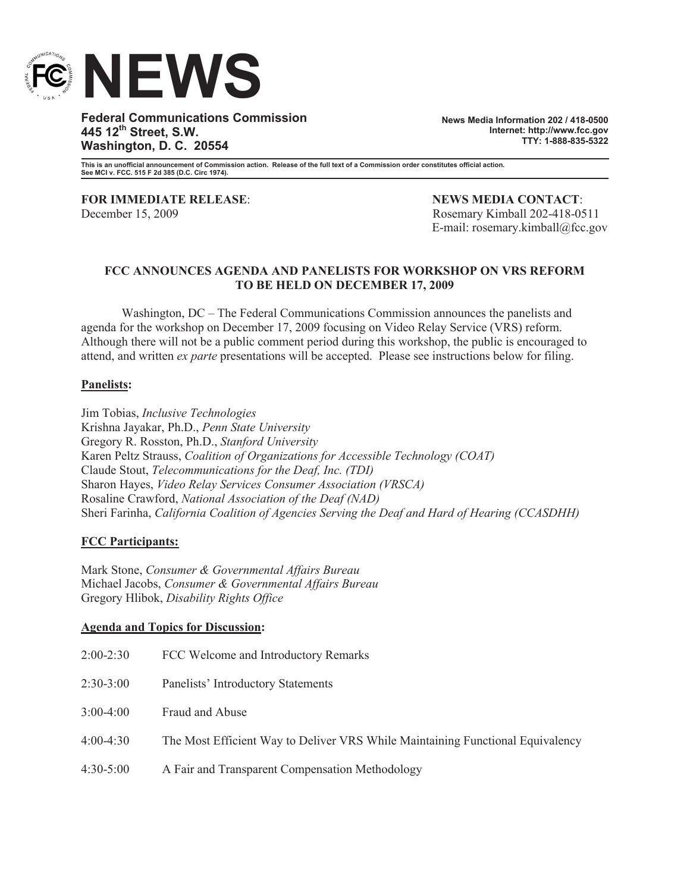

**Federal Communications Commission 445 12th Street, S.W. Washington, D. C. 20554**

**News Media Information 202 / 418-0500 Internet: http://www.fcc.gov TTY: 1-888-835-5322**

**This is an unofficial announcement of Commission action. Release of the full text of a Commission order constitutes official action. See MCI v. FCC. 515 F 2d 385 (D.C. Circ 1974).**

**FOR IMMEDIATE RELEASE**: **NEWS MEDIA CONTACT**: December 15, 2009 Rosemary Kimball 202-418-0511

E-mail: rosemary.kimball@fcc.gov

## **FCC ANNOUNCES AGENDA AND PANELISTS FOR WORKSHOP ON VRS REFORM TO BE HELD ON DECEMBER 17, 2009**

Washington, DC – The Federal Communications Commission announces the panelists and agenda for the workshop on December 17, 2009 focusing on Video Relay Service (VRS) reform. Although there will not be a public comment period during this workshop, the public is encouraged to attend, and written *ex parte* presentations will be accepted. Please see instructions below for filing.

## **Panelists:**

Jim Tobias, *Inclusive Technologies* Krishna Jayakar, Ph.D., *Penn State University* Gregory R. Rosston, Ph.D., *Stanford University* Karen Peltz Strauss, *Coalition of Organizations for Accessible Technology (COAT)* Claude Stout, *Telecommunications for the Deaf, Inc. (TDI)* Sharon Hayes, *Video Relay Services Consumer Association (VRSCA)* Rosaline Crawford, *National Association of the Deaf (NAD)* Sheri Farinha, *California Coalition of Agencies Serving the Deaf and Hard of Hearing (CCASDHH)*

## **FCC Participants:**

Mark Stone, *Consumer & Governmental Affairs Bureau* Michael Jacobs, *Consumer & Governmental Affairs Bureau* Gregory Hlibok, *Disability Rights Office*

## **Agenda and Topics for Discussion:**

| $2:00-2:30$<br>FCC Welcome and Introductory Remarks                                           |  |
|-----------------------------------------------------------------------------------------------|--|
| $2:30-3:00$<br>Panelists' Introductory Statements                                             |  |
| $3:00-4:00$<br>Fraud and Abuse                                                                |  |
| $4:00-4:30$<br>The Most Efficient Way to Deliver VRS While Maintaining Functional Equivalency |  |
| $4:30-5:00$<br>A Fair and Transparent Compensation Methodology                                |  |